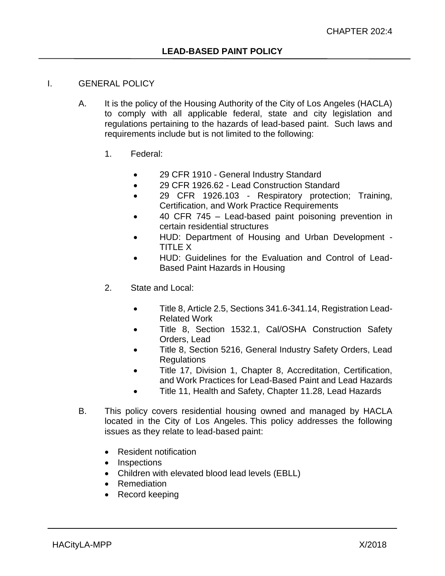# I. GENERAL POLICY

- A. It is the policy of the Housing Authority of the City of Los Angeles (HACLA) to comply with all applicable federal, state and city legislation and regulations pertaining to the hazards of lead-based paint. Such laws and requirements include but is not limited to the following:
	- 1. Federal:
		- 29 CFR 1910 General Industry Standard
		- 29 CFR 1926.62 Lead Construction Standard
		- 29 CFR 1926.103 Respiratory protection; Training, Certification, and Work Practice Requirements
		- 40 CFR 745 Lead-based paint poisoning prevention in certain residential structures
		- HUD: Department of Housing and Urban Development TITLE X
		- HUD: Guidelines for the Evaluation and Control of Lead-Based Paint Hazards in Housing
	- 2. State and Local:
		- Title 8, Article 2.5, Sections 341.6-341.14, Registration Lead-Related Work
		- Title 8, Section 1532.1, Cal/OSHA Construction Safety Orders, Lead
		- Title 8, Section 5216, General Industry Safety Orders, Lead Regulations
		- Title 17, Division 1, Chapter 8, Accreditation, Certification, and Work Practices for Lead-Based Paint and Lead Hazards
		- Title 11, Health and Safety, Chapter 11.28, Lead Hazards
- B. This policy covers residential housing owned and managed by HACLA located in the City of Los Angeles. This policy addresses the following issues as they relate to lead-based paint:
	- Resident notification
	- Inspections
	- Children with elevated blood lead levels (EBLL)
	- Remediation
	- Record keeping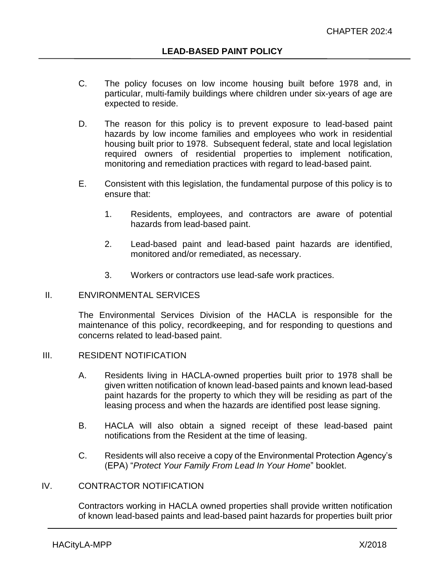- C. The policy focuses on low income housing built before 1978 and, in particular, multi-family buildings where children under six-years of age are expected to reside.
- D. The reason for this policy is to prevent exposure to lead-based paint hazards by low income families and employees who work in residential housing built prior to 1978. Subsequent federal, state and local legislation required owners of residential properties to implement notification, monitoring and remediation practices with regard to lead-based paint.
- E. Consistent with this legislation, the fundamental purpose of this policy is to ensure that:
	- 1. Residents, employees, and contractors are aware of potential hazards from lead-based paint.
	- 2. Lead-based paint and lead-based paint hazards are identified, monitored and/or remediated, as necessary.
	- 3. Workers or contractors use lead-safe work practices.

### II. ENVIRONMENTAL SERVICES

The Environmental Services Division of the HACLA is responsible for the maintenance of this policy, recordkeeping, and for responding to questions and concerns related to lead-based paint.

### III. RESIDENT NOTIFICATION

- A. Residents living in HACLA-owned properties built prior to 1978 shall be given written notification of known lead-based paints and known lead-based paint hazards for the property to which they will be residing as part of the leasing process and when the hazards are identified post lease signing.
- B. HACLA will also obtain a signed receipt of these lead-based paint notifications from the Resident at the time of leasing.
- C. Residents will also receive a copy of the Environmental Protection Agency's (EPA) "*Protect Your Family From Lead In Your Home*" booklet.

# IV. CONTRACTOR NOTIFICATION

Contractors working in HACLA owned properties shall provide written notification of known lead-based paints and lead-based paint hazards for properties built prior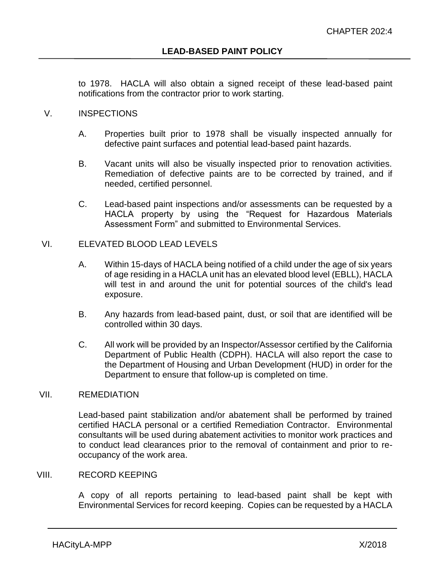to 1978. HACLA will also obtain a signed receipt of these lead-based paint notifications from the contractor prior to work starting.

# V. INSPECTIONS

- A. Properties built prior to 1978 shall be visually inspected annually for defective paint surfaces and potential lead-based paint hazards.
- B. Vacant units will also be visually inspected prior to renovation activities. Remediation of defective paints are to be corrected by trained, and if needed, certified personnel.
- C. Lead-based paint inspections and/or assessments can be requested by a HACLA property by using the "Request for Hazardous Materials Assessment Form" and submitted to Environmental Services.

# VI. ELEVATED BLOOD LEAD LEVELS

- A. Within 15-days of HACLA being notified of a child under the age of six years of age residing in a HACLA unit has an elevated blood level (EBLL), HACLA will test in and around the unit for potential sources of the child's lead exposure.
- B. Any hazards from lead-based paint, dust, or soil that are identified will be controlled within 30 days.
- C. All work will be provided by an Inspector/Assessor certified by the California Department of Public Health (CDPH). HACLA will also report the case to the Department of Housing and Urban Development (HUD) in order for the Department to ensure that follow-up is completed on time.

### VII. REMEDIATION

Lead-based paint stabilization and/or abatement shall be performed by trained certified HACLA personal or a certified Remediation Contractor. Environmental consultants will be used during abatement activities to monitor work practices and to conduct lead clearances prior to the removal of containment and prior to reoccupancy of the work area.

### VIII. RECORD KEEPING

A copy of all reports pertaining to lead-based paint shall be kept with Environmental Services for record keeping. Copies can be requested by a HACLA